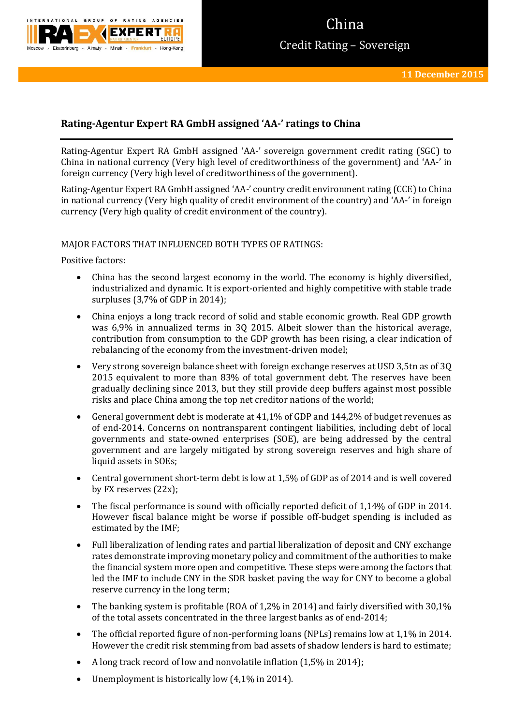

# China Credit Rating – Sovereign

## **Rating-Agentur Expert RA GmbH assigned 'AA-' ratings to China**

Rating-Agentur Expert RA GmbH assigned 'AA-' sovereign government credit rating (SGC) to China in national currency (Very high level of creditworthiness of the government) and 'AA-' in foreign currency (Very high level of creditworthiness of the government).

Rating-Agentur Expert RA GmbH assigned 'AA-' country credit environment rating (CCE) to China in national currency (Very high quality of credit environment of the country) and 'AA-' in foreign currency (Very high quality of credit environment of the country).

### MAJOR FACTORS THAT INFLUENCED BOTH TYPES OF RATINGS:

Positive factors:

- China has the second largest economy in the world. The economy is highly diversified, industrialized and dynamic. It is export-oriented and highly competitive with stable trade surpluses (3,7% of GDP in 2014);
- China enjoys a long track record of solid and stable economic growth. Real GDP growth was 6,9% in annualized terms in 3Q 2015. Albeit slower than the historical average, contribution from consumption to the GDP growth has been rising, a clear indication of rebalancing of the economy from the investment-driven model;
- Very strong sovereign balance sheet with foreign exchange reserves at USD 3,5tn as of 3Q 2015 equivalent to more than 83% of total government debt. The reserves have been gradually declining since 2013, but they still provide deep buffers against most possible risks and place China among the top net creditor nations of the world;
- General government debt is moderate at 41,1% of GDP and 144,2% of budget revenues as of end-2014. Concerns on nontransparent contingent liabilities, including debt of local governments and state-owned enterprises (SOE), are being addressed by the central government and are largely mitigated by strong sovereign reserves and high share of liquid assets in SOEs;
- Central government short-term debt is low at 1,5% of GDP as of 2014 and is well covered by FX reserves (22x);
- The fiscal performance is sound with officially reported deficit of 1,14% of GDP in 2014. However fiscal balance might be worse if possible off-budget spending is included as estimated by the IMF;
- Full liberalization of lending rates and partial liberalization of deposit and CNY exchange rates demonstrate improving monetary policy and commitment of the authorities to make the financial system more open and competitive. These steps were among the factors that led the IMF to include CNY in the SDR basket paving the way for CNY to become a global reserve currency in the long term;
- The banking system is profitable (ROA of 1,2% in 2014) and fairly diversified with 30,1% of the total assets concentrated in the three largest banks as of end-2014;
- The official reported figure of non-performing loans (NPLs) remains low at 1,1% in 2014. However the credit risk stemming from bad assets of shadow lenders is hard to estimate;
- A long track record of low and nonvolatile inflation (1,5% in 2014);
- Unemployment is historically low  $(4,1\%$  in 2014).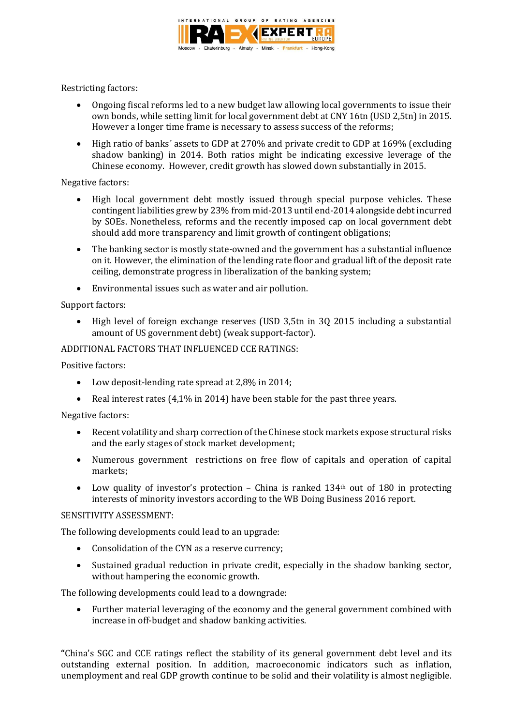

Restricting factors:

- Ongoing fiscal reforms led to a new budget law allowing local governments to issue their own bonds, while setting limit for local government debt at CNY 16tn (USD 2,5tn) in 2015. However a longer time frame is necessary to assess success of the reforms;
- High ratio of banks´ assets to GDP at 270% and private credit to GDP at 169% (excluding shadow banking) in 2014. Both ratios might be indicating excessive leverage of the Chinese economy. However, credit growth has slowed down substantially in 2015.

### Negative factors:

- High local government debt mostly issued through special purpose vehicles. These contingent liabilities grew by 23% from mid-2013 until end-2014 alongside debt incurred by SOEs. Nonetheless, reforms and the recently imposed cap on local government debt should add more transparency and limit growth of contingent obligations;
- The banking sector is mostly state-owned and the government has a substantial influence on it. However, the elimination of the lending rate floor and gradual lift of the deposit rate ceiling, demonstrate progress in liberalization of the banking system;
- Environmental issues such as water and air pollution.

### Support factors:

 High level of foreign exchange reserves (USD 3,5tn in 3Q 2015 including a substantial amount of US government debt) (weak support-factor).

### ADDITIONAL FACTORS THAT INFLUENCED CCE RATINGS:

Positive factors:

- Low deposit-lending rate spread at 2,8% in 2014;
- Real interest rates (4,1% in 2014) have been stable for the past three years.

### Negative factors:

- Recent volatility and sharp correction of the Chinese stock markets expose structural risks and the early stages of stock market development;
- Numerous government restrictions on free flow of capitals and operation of capital markets;
- Low quality of investor's protection China is ranked  $134<sup>th</sup>$  out of 180 in protecting interests of minority investors according to the WB Doing Business 2016 report.

### SENSITIVITY ASSESSMENT:

The following developments could lead to an upgrade:

- Consolidation of the CYN as a reserve currency;
- Sustained gradual reduction in private credit, especially in the shadow banking sector, without hampering the economic growth.

The following developments could lead to a downgrade:

 Further material leveraging of the economy and the general government combined with increase in off-budget and shadow banking activities.

**"**China's SGC and CCE ratings reflect the stability of its general government debt level and its outstanding external position. In addition, macroeconomic indicators such as inflation, unemployment and real GDP growth continue to be solid and their volatility is almost negligible.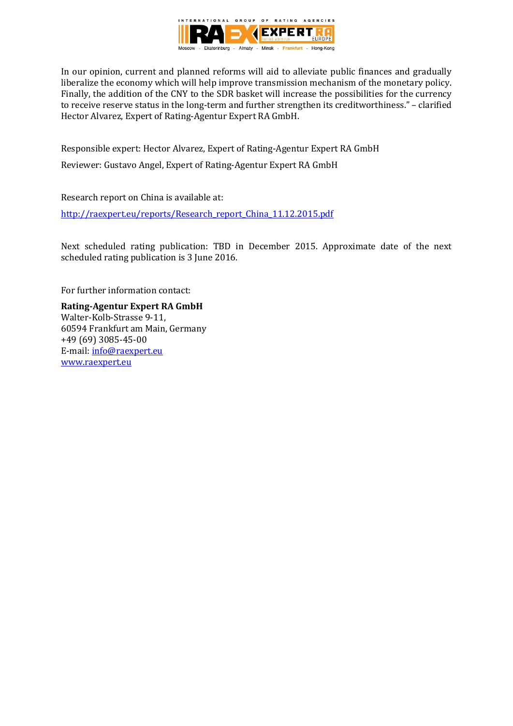

In our opinion, current and planned reforms will aid to alleviate public finances and gradually liberalize the economy which will help improve transmission mechanism of the monetary policy. Finally, the addition of the CNY to the SDR basket will increase the possibilities for the currency to receive reserve status in the long-term and further strengthen its creditworthiness." – clarified Hector Alvarez, Expert of Rating-Agentur Expert RA GmbH.

Responsible expert: Hector Alvarez, Expert of Rating-Agentur Expert RA GmbH Reviewer: Gustavo Angel, Expert of Rating-Agentur Expert RA GmbH

Research report on China is available at: [http://raexpert.eu/reports/Research\\_report\\_China\\_11.12.2015.pdf](http://raexpert.eu/reports/Research_report_China_11.12.2015.pdf)

Next scheduled rating publication: TBD in December 2015. Approximate date of the next scheduled rating publication is 3 June 2016.

For further information contact:

**Rating-Agentur Expert RA GmbH** Walter-Kolb-Strasse 9-11, 60594 Frankfurt am Main, Germany +49 (69) 3085-45-00 E-mail[: info@raexpert.eu](mailto:info@raexpert.eu) [www.raexpert.eu](http://raexpert.eu/)